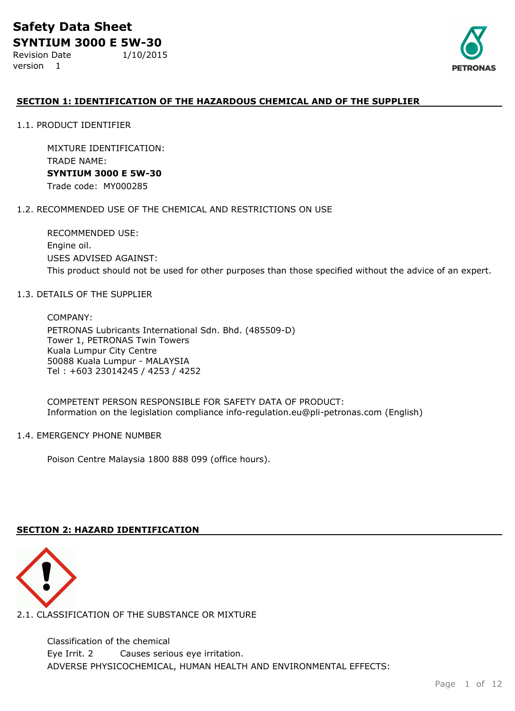Revision Date 1/10/2015 version 1



## **SECTION 1: IDENTIFICATION OF THE HAZARDOUS CHEMICAL AND OF THE SUPPLIER**

1.1. PRODUCT IDENTIFIER

MIXTURE IDENTIFICATION: TRADE NAME: **SYNTIUM 3000 E 5W-30** Trade code: MY000285

#### 1.2. RECOMMENDED USE OF THE CHEMICAL AND RESTRICTIONS ON USE

RECOMMENDED USE: Engine oil. USES ADVISED AGAINST: This product should not be used for other purposes than those specified without the advice of an expert.

#### 1.3. DETAILS OF THE SUPPLIER

COMPANY: PETRONAS Lubricants International Sdn. Bhd. (485509-D) Tower 1, PETRONAS Twin Towers Kuala Lumpur City Centre 50088 Kuala Lumpur - MALAYSIA Tel : +603 23014245 / 4253 / 4252

COMPETENT PERSON RESPONSIBLE FOR SAFETY DATA OF PRODUCT: Information on the legislation compliance info-regulation.eu@pli-petronas.com (English)

#### 1.4. EMERGENCY PHONE NUMBER

Poison Centre Malaysia 1800 888 099 (office hours).

## **SECTION 2: HAZARD IDENTIFICATION**



2.1. CLASSIFICATION OF THE SUBSTANCE OR MIXTURE

ADVERSE PHYSICOCHEMICAL, HUMAN HEALTH AND ENVIRONMENTAL EFFECTS: Classification of the chemical Eye Irrit. 2 Causes serious eye irritation.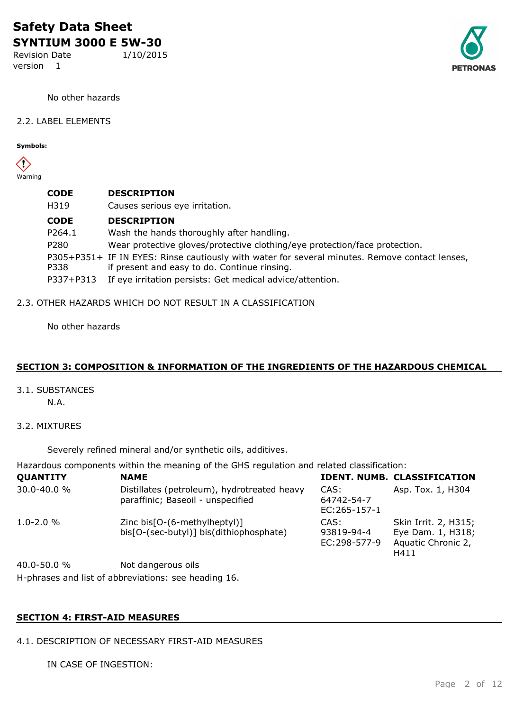Revision Date 1/10/2015 version 1



No other hazards

#### 2.2. LABEL ELEMENTS

**Symbols:**

 $\langle \rangle$ Warning

| <b>CODE</b> | <b>DESCRIPTION</b>                                                                             |
|-------------|------------------------------------------------------------------------------------------------|
| H319        | Causes serious eye irritation.                                                                 |
| <b>CODE</b> | <b>DESCRIPTION</b>                                                                             |
| P264.1      | Wash the hands thoroughly after handling.                                                      |
| P280        | Wear protective gloves/protective clothing/eye protection/face protection.                     |
|             | P305+P351+ IF IN EYES: Rinse cautiously with water for several minutes. Remove contact lenses, |
| P338        | if present and easy to do. Continue rinsing.                                                   |
| P337+P313   | If eye irritation persists: Get medical advice/attention.                                      |

#### 2.3. OTHER HAZARDS WHICH DO NOT RESULT IN A CLASSIFICATION

No other hazards

## **SECTION 3: COMPOSITION & INFORMATION OF THE INGREDIENTS OF THE HAZARDOUS CHEMICAL**

3.1. SUBSTANCES

N.A.

3.2. MIXTURES

Severely refined mineral and/or synthetic oils, additives.

Hazardous components within the meaning of the GHS regulation and related classification:

| <b>QUANTITY</b>                                                                | <b>NAME</b>                                                                      |                                      | <b>IDENT, NUMB. CLASSIFICATION</b>                                      |
|--------------------------------------------------------------------------------|----------------------------------------------------------------------------------|--------------------------------------|-------------------------------------------------------------------------|
| 30.0-40.0 %                                                                    | Distillates (petroleum), hydrotreated heavy<br>paraffinic; Baseoil - unspecified | CAS:<br>64742-54-7<br>$EC:265-157-1$ | Asp. Tox. 1, H304                                                       |
| $1.0 - 2.0 %$                                                                  | Zinc bis[O-(6-methylheptyl)]<br>bis[O-(sec-butyl)] bis(dithiophosphate)          | CAS:<br>93819-94-4<br>EC:298-577-9   | Skin Irrit. 2, H315;<br>Eye Dam. 1, H318;<br>Aquatic Chronic 2,<br>H411 |
| $\Lambda$ $\Lambda$ $\Lambda$ $\Gamma$ $\Lambda$ $\Lambda$ $\Lambda$ $\Lambda$ | Not dangerous oils                                                               |                                      |                                                                         |

H-phrases and list of abbreviations: see heading 16. 40.0-50.0 % Not dangerous oils

## **SECTION 4: FIRST-AID MEASURES**

4.1. DESCRIPTION OF NECESSARY FIRST-AID MEASURES

IN CASE OF INGESTION: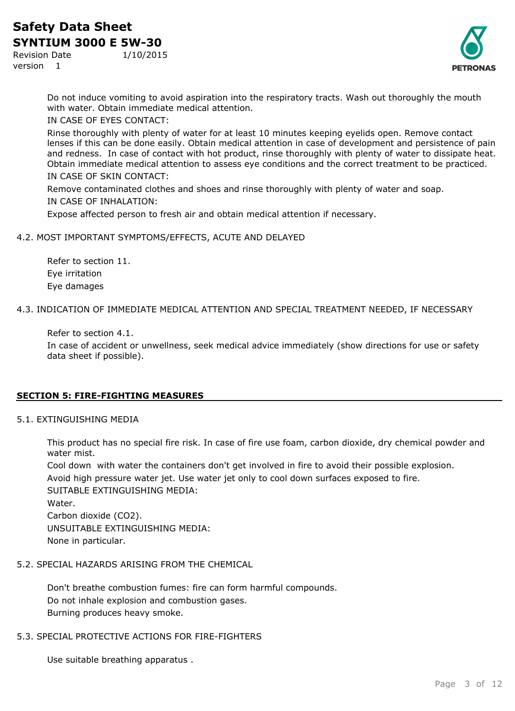Revision Date 1/10/2015

version 1



Do not induce vomiting to avoid aspiration into the respiratory tracts. Wash out thoroughly the mouth with water. Obtain immediate medical attention.

IN CASE OF EYES CONTACT:

Rinse thoroughly with plenty of water for at least 10 minutes keeping eyelids open. Remove contact lenses if this can be done easily. Obtain medical attention in case of development and persistence of pain and redness. In case of contact with hot product, rinse thoroughly with plenty of water to dissipate heat. Obtain immediate medical attention to assess eye conditions and the correct treatment to be practiced. IN CASE OF SKIN CONTACT:

Remove contaminated clothes and shoes and rinse thoroughly with plenty of water and soap. IN CASE OF INHALATION:

Expose affected person to fresh air and obtain medical attention if necessary.

## 4.2. MOST IMPORTANT SYMPTOMS/EFFECTS, ACUTE AND DELAYED

Refer to section 11. Eye irritation Eye damages

4.3. INDICATION OF IMMEDIATE MEDICAL ATTENTION AND SPECIAL TREATMENT NEEDED, IF NECESSARY

Refer to section 4.1.

In case of accident or unwellness, seek medical advice immediately (show directions for use or safety data sheet if possible).

## **SECTION 5: FIRE-FIGHTING MEASURES**

## 5.1. EXTINGUISHING MEDIA

This product has no special fire risk. In case of fire use foam, carbon dioxide, dry chemical powder and water mist.

Cool down with water the containers don't get involved in fire to avoid their possible explosion.

Avoid high pressure water jet. Use water jet only to cool down surfaces exposed to fire.

SUITABLE EXTINGUISHING MEDIA: Water. Carbon dioxide (CO2). UNSUITABLE EXTINGUISHING MEDIA:

None in particular.

## 5.2. SPECIAL HAZARDS ARISING FROM THE CHEMICAL

Don't breathe combustion fumes: fire can form harmful compounds. Do not inhale explosion and combustion gases. Burning produces heavy smoke.

## 5.3. SPECIAL PROTECTIVE ACTIONS FOR FIRE-FIGHTERS

Use suitable breathing apparatus .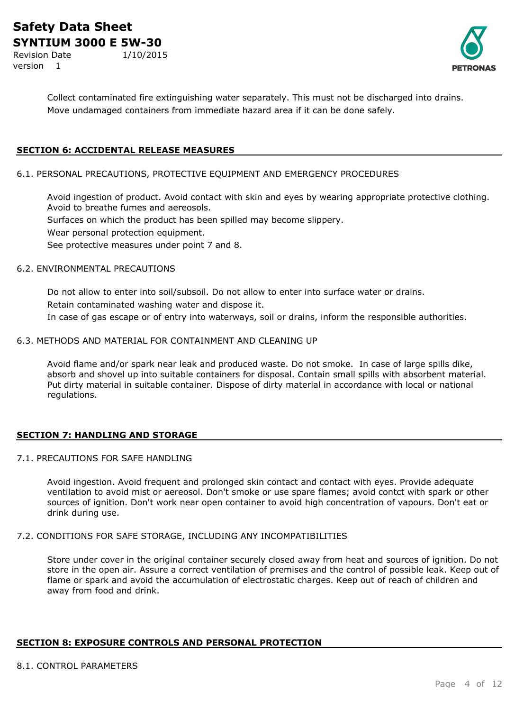Revision Date 1/10/2015 version 1



Collect contaminated fire extinguishing water separately. This must not be discharged into drains. Move undamaged containers from immediate hazard area if it can be done safely.

## **SECTION 6: ACCIDENTAL RELEASE MEASURES**

#### 6.1. PERSONAL PRECAUTIONS, PROTECTIVE EQUIPMENT AND EMERGENCY PROCEDURES

Avoid ingestion of product. Avoid contact with skin and eyes by wearing appropriate protective clothing. Avoid to breathe fumes and aereosols. Surfaces on which the product has been spilled may become slippery. Wear personal protection equipment.

See protective measures under point 7 and 8.

#### 6.2. ENVIRONMENTAL PRECAUTIONS

Do not allow to enter into soil/subsoil. Do not allow to enter into surface water or drains. Retain contaminated washing water and dispose it. In case of gas escape or of entry into waterways, soil or drains, inform the responsible authorities.

# 6.3. METHODS AND MATERIAL FOR CONTAINMENT AND CLEANING UP

Avoid flame and/or spark near leak and produced waste. Do not smoke. In case of large spills dike, absorb and shovel up into suitable containers for disposal. Contain small spills with absorbent material. Put dirty material in suitable container. Dispose of dirty material in accordance with local or national regulations.

#### **SECTION 7: HANDLING AND STORAGE**

## 7.1. PRECAUTIONS FOR SAFE HANDLING

Avoid ingestion. Avoid frequent and prolonged skin contact and contact with eyes. Provide adequate ventilation to avoid mist or aereosol. Don't smoke or use spare flames; avoid contct with spark or other sources of ignition. Don't work near open container to avoid high concentration of vapours. Don't eat or drink during use.

## 7.2. CONDITIONS FOR SAFE STORAGE, INCLUDING ANY INCOMPATIBILITIES

Store under cover in the original container securely closed away from heat and sources of ignition. Do not store in the open air. Assure a correct ventilation of premises and the control of possible leak. Keep out of flame or spark and avoid the accumulation of electrostatic charges. Keep out of reach of children and away from food and drink.

## **SECTION 8: EXPOSURE CONTROLS AND PERSONAL PROTECTION**

#### 8.1. CONTROL PARAMETERS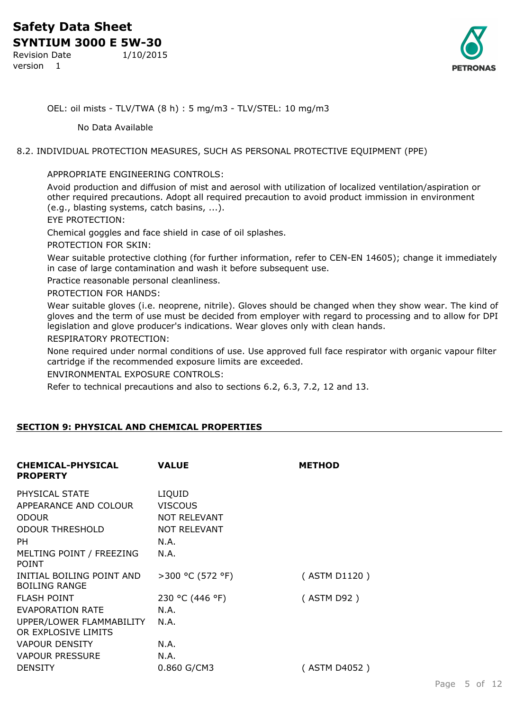Revision Date 1/10/2015 version 1



OEL: oil mists - TLV/TWA (8 h) : 5 mg/m3 - TLV/STEL: 10 mg/m3

No Data Available

## 8.2. INDIVIDUAL PROTECTION MEASURES, SUCH AS PERSONAL PROTECTIVE EQUIPMENT (PPE)

## APPROPRIATE ENGINEERING CONTROLS:

Avoid production and diffusion of mist and aerosol with utilization of localized ventilation/aspiration or other required precautions. Adopt all required precaution to avoid product immission in environment (e.g., blasting systems, catch basins, ...).

EYE PROTECTION:

Chemical goggles and face shield in case of oil splashes.

PROTECTION FOR SKIN:

Wear suitable protective clothing (for further information, refer to CEN-EN 14605); change it immediately in case of large contamination and wash it before subsequent use.

Practice reasonable personal cleanliness.

PROTECTION FOR HANDS:

Wear suitable gloves (i.e. neoprene, nitrile). Gloves should be changed when they show wear. The kind of gloves and the term of use must be decided from employer with regard to processing and to allow for DPI legislation and glove producer's indications. Wear gloves only with clean hands.

RESPIRATORY PROTECTION:

None required under normal conditions of use. Use approved full face respirator with organic vapour filter cartridge if the recommended exposure limits are exceeded.

ENVIRONMENTAL EXPOSURE CONTROLS:

Refer to technical precautions and also to sections 6.2, 6.3, 7.2, 12 and 13.

## **SECTION 9: PHYSICAL AND CHEMICAL PROPERTIES**

| <b>CHEMICAL-PHYSICAL</b><br><b>PROPERTY</b>       | <b>VALUE</b>        | <b>METHOD</b> |
|---------------------------------------------------|---------------------|---------------|
| PHYSICAL STATE                                    | LIQUID              |               |
| APPEARANCE AND COLOUR                             | <b>VISCOUS</b>      |               |
| <b>ODOUR</b>                                      | <b>NOT RELEVANT</b> |               |
| <b>ODOUR THRESHOLD</b>                            | <b>NOT RELEVANT</b> |               |
| <b>PH</b>                                         | N.A.                |               |
| MELTING POINT / FREEZING<br><b>POINT</b>          | N.A.                |               |
| INITIAL BOILING POINT AND<br><b>BOILING RANGE</b> | >300 °C (572 °F)    | (ASTM D1120)  |
| <b>FLASH POINT</b>                                | 230 °C (446 °F)     | (ASTM D92)    |
| <b>EVAPORATION RATE</b>                           | N.A.                |               |
| UPPER/LOWER FLAMMABILITY                          | N.A.                |               |
| OR EXPLOSIVE LIMITS                               |                     |               |
| <b>VAPOUR DENSITY</b>                             | N.A.                |               |
| <b>VAPOUR PRESSURE</b>                            | N.A.                |               |
| <b>DENSITY</b>                                    | 0.860 G/CM3         | (ASTM D4052)  |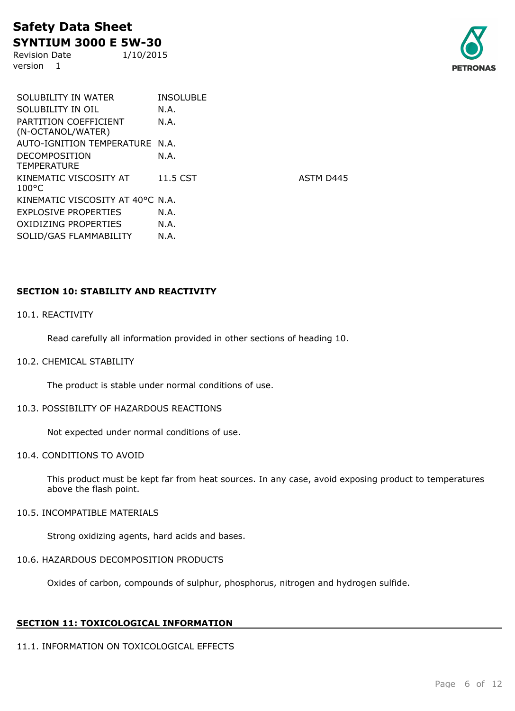Revision Date 1/10/2015 version 1



SOLUBILITY IN WATER **INSOLUBLE** SOLUBILITY IN OIL N.A. PARTITION COEFFICIENT (N-OCTANOL/WATER) N.A. AUTO-IGNITION TEMPERATURE N.A. DECOMPOSITION **TEMPERATURE** N.A. KINEMATIC VISCOSITY AT 100°C KINEMATIC VISCOSITY AT 40°C N.A. EXPLOSIVE PROPERTIES N.A. OXIDIZING PROPERTIES N.A. SOLID/GAS FLAMMABILITY N.A.

11.5 CST ASTM D445

## **SECTION 10: STABILITY AND REACTIVITY**

#### 10.1. REACTIVITY

Read carefully all information provided in other sections of heading 10.

#### 10.2. CHEMICAL STABILITY

The product is stable under normal conditions of use.

#### 10.3. POSSIBILITY OF HAZARDOUS REACTIONS

Not expected under normal conditions of use.

#### 10.4. CONDITIONS TO AVOID

This product must be kept far from heat sources. In any case, avoid exposing product to temperatures above the flash point.

## 10.5. INCOMPATIBLE MATERIALS

Strong oxidizing agents, hard acids and bases.

#### 10.6. HAZARDOUS DECOMPOSITION PRODUCTS

Oxides of carbon, compounds of sulphur, phosphorus, nitrogen and hydrogen sulfide.

#### **SECTION 11: TOXICOLOGICAL INFORMATION**

## 11.1. INFORMATION ON TOXICOLOGICAL EFFECTS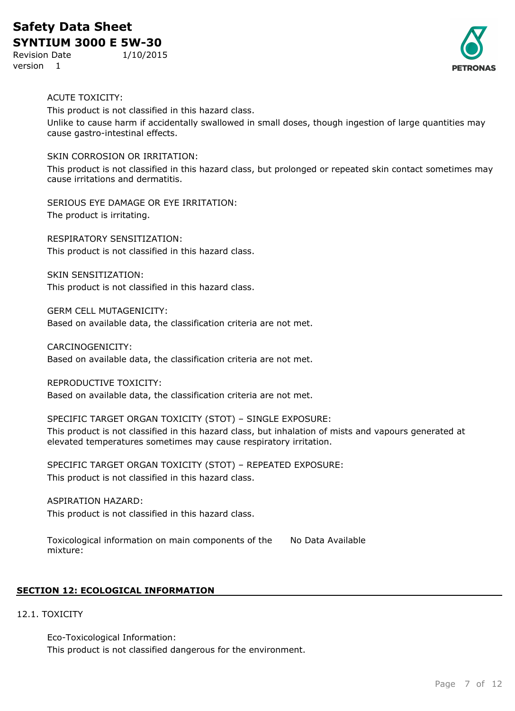# **Safety Data Sheet**

**SYNTIUM 3000 E 5W-30** Revision Date 1/10/2015

version 1



## ACUTE TOXICITY:

This product is not classified in this hazard class. Unlike to cause harm if accidentally swallowed in small doses, though ingestion of large quantities may cause gastro-intestinal effects.

## SKIN CORROSION OR IRRITATION:

This product is not classified in this hazard class, but prolonged or repeated skin contact sometimes may cause irritations and dermatitis.

SERIOUS EYE DAMAGE OR EYE IRRITATION: The product is irritating.

RESPIRATORY SENSITIZATION: This product is not classified in this hazard class.

SKIN SENSITIZATION: This product is not classified in this hazard class.

GERM CELL MUTAGENICITY:

Based on available data, the classification criteria are not met.

CARCINOGENICITY: Based on available data, the classification criteria are not met.

REPRODUCTIVE TOXICITY:

Based on available data, the classification criteria are not met.

#### SPECIFIC TARGET ORGAN TOXICITY (STOT) – SINGLE EXPOSURE:

This product is not classified in this hazard class, but inhalation of mists and vapours generated at elevated temperatures sometimes may cause respiratory irritation.

SPECIFIC TARGET ORGAN TOXICITY (STOT) – REPEATED EXPOSURE: This product is not classified in this hazard class.

ASPIRATION HAZARD: This product is not classified in this hazard class.

Toxicological information on main components of the mixture: No Data Available

## **SECTION 12: ECOLOGICAL INFORMATION**

## 12.1. TOXICITY

Eco-Toxicological Information: This product is not classified dangerous for the environment.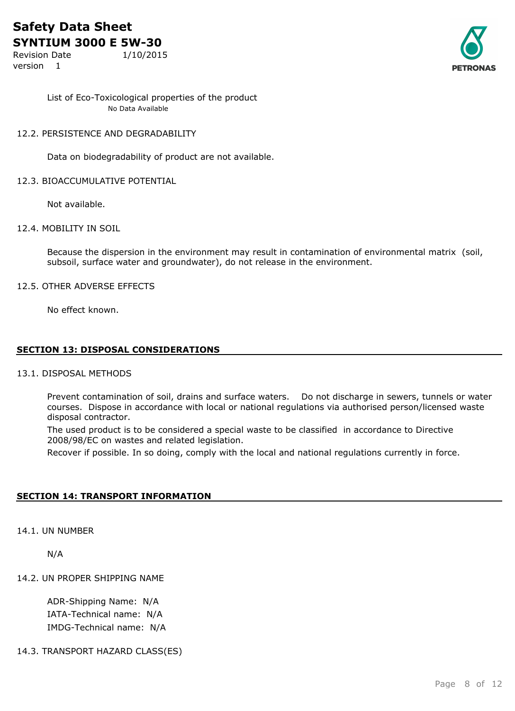Revision Date 1/10/2015

version 1



List of Eco-Toxicological properties of the product No Data Available

## 12.2. PERSISTENCE AND DEGRADABILITY

Data on biodegradability of product are not available.

## 12.3. BIOACCUMULATIVE POTENTIAL

Not available.

## 12.4. MOBILITY IN SOIL

Because the dispersion in the environment may result in contamination of environmental matrix (soil, subsoil, surface water and groundwater), do not release in the environment.

## 12.5. OTHER ADVERSE EFFECTS

No effect known.

## **SECTION 13: DISPOSAL CONSIDERATIONS**

#### 13.1. DISPOSAL METHODS

Prevent contamination of soil, drains and surface waters. Do not discharge in sewers, tunnels or water courses. Dispose in accordance with local or national regulations via authorised person/licensed waste disposal contractor.

The used product is to be considered a special waste to be classified in accordance to Directive 2008/98/EC on wastes and related legislation.

Recover if possible. In so doing, comply with the local and national regulations currently in force.

## **SECTION 14: TRANSPORT INFORMATION**

14.1. UN NUMBER

N/A

## 14.2. UN PROPER SHIPPING NAME

ADR-Shipping Name: N/A IATA-Technical name: N/A IMDG-Technical name: N/A

#### 14.3. TRANSPORT HAZARD CLASS(ES)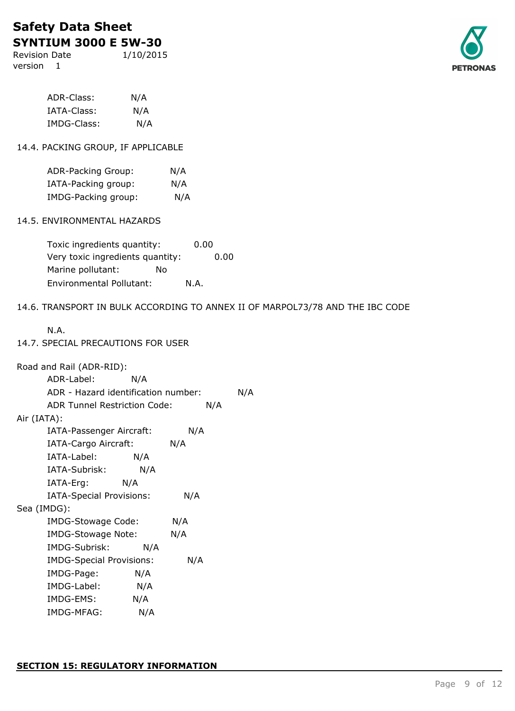Revision Date 1/10/2015 version 1



| ADR-Class:  | N/A |
|-------------|-----|
| IATA-Class: | N/A |
| IMDG-Class: | N/A |

## 14.4. PACKING GROUP, IF APPLICABLE

| ADR-Packing Group:  | N/A |
|---------------------|-----|
| IATA-Packing group: | N/A |
| IMDG-Packing group: | N/A |

## 14.5. ENVIRONMENTAL HAZARDS

| Toxic ingredients quantity:      |    | 0.00 |      |
|----------------------------------|----|------|------|
| Very toxic ingredients quantity: |    |      | 0.00 |
| Marine pollutant:                | N٥ |      |      |
| <b>Environmental Pollutant:</b>  |    | N.A. |      |

## 14.6. TRANSPORT IN BULK ACCORDING TO ANNEX II OF MARPOL73/78 AND THE IBC CODE

|--|--|

## 14.7. SPECIAL PRECAUTIONS FOR USER

| Road and Rail (ADR-RID):            |     |     |     |
|-------------------------------------|-----|-----|-----|
| ADR-Label:                          | N/A |     |     |
| ADR - Hazard identification number: |     |     | N/A |
| <b>ADR Tunnel Restriction Code:</b> |     | N/A |     |
| Air (IATA):                         |     |     |     |
| IATA-Passenger Aircraft:            |     | N/A |     |
| IATA-Cargo Aircraft:                |     | N/A |     |
| IATA-Label:                         | N/A |     |     |
| IATA-Subrisk:                       | N/A |     |     |
| IATA-Erg: N/A                       |     |     |     |
| IATA-Special Provisions:            |     | N/A |     |
| Sea (IMDG):                         |     |     |     |
| IMDG-Stowage Code:                  |     | N/A |     |
| IMDG-Stowage Note:                  |     | N/A |     |
| IMDG-Subrisk:                       | N/A |     |     |
| <b>IMDG-Special Provisions:</b>     |     | N/A |     |
| IMDG-Page:                          | N/A |     |     |
| IMDG-Label:                         | N/A |     |     |
| IMDG-EMS:                           | N/A |     |     |
| IMDG-MFAG:                          | N/A |     |     |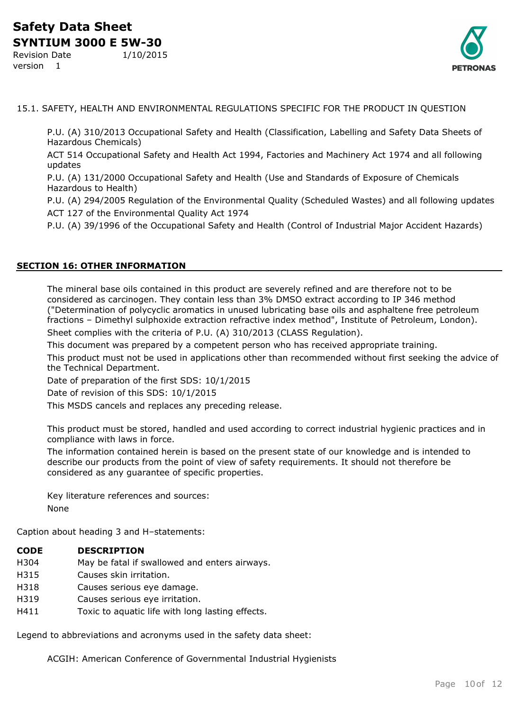**PETRONAS** 

Revision Date 1/10/2015 version 1

15.1. SAFETY, HEALTH AND ENVIRONMENTAL REGULATIONS SPECIFIC FOR THE PRODUCT IN QUESTION

P.U. (A) 310/2013 Occupational Safety and Health (Classification, Labelling and Safety Data Sheets of Hazardous Chemicals)

ACT 514 Occupational Safety and Health Act 1994, Factories and Machinery Act 1974 and all following updates

P.U. (A) 131/2000 Occupational Safety and Health (Use and Standards of Exposure of Chemicals Hazardous to Health)

P.U. (A) 294/2005 Regulation of the Environmental Quality (Scheduled Wastes) and all following updates ACT 127 of the Environmental Quality Act 1974

P.U. (A) 39/1996 of the Occupational Safety and Health (Control of Industrial Major Accident Hazards)

## **SECTION 16: OTHER INFORMATION**

The mineral base oils contained in this product are severely refined and are therefore not to be considered as carcinogen. They contain less than 3% DMSO extract according to IP 346 method ("Determination of polycyclic aromatics in unused lubricating base oils and asphaltene free petroleum fractions – Dimethyl sulphoxide extraction refractive index method", Institute of Petroleum, London). Sheet complies with the criteria of P.U. (A) 310/2013 (CLASS Regulation).

This document was prepared by a competent person who has received appropriate training.

This product must not be used in applications other than recommended without first seeking the advice of the Technical Department.

Date of preparation of the first SDS: 10/1/2015

Date of revision of this SDS: 10/1/2015

This MSDS cancels and replaces any preceding release.

This product must be stored, handled and used according to correct industrial hygienic practices and in compliance with laws in force.

The information contained herein is based on the present state of our knowledge and is intended to describe our products from the point of view of safety requirements. It should not therefore be considered as any guarantee of specific properties.

Key literature references and sources: None

Caption about heading 3 and H–statements:

## **CODE DESCRIPTION**

- H304 May be fatal if swallowed and enters airways.
- H315 Causes skin irritation.
- H318 Causes serious eye damage.
- H319 Causes serious eye irritation.
- H411 Toxic to aquatic life with long lasting effects.

Legend to abbreviations and acronyms used in the safety data sheet:

ACGIH: American Conference of Governmental Industrial Hygienists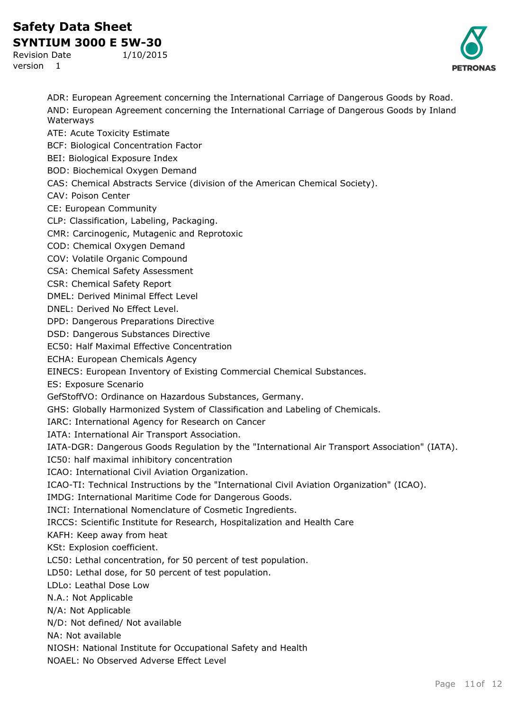# **Safety Data Sheet**

**SYNTIUM 3000 E 5W-30** Revision Date 1/10/2015

version 1



ADR: European Agreement concerning the International Carriage of Dangerous Goods by Road. AND: European Agreement concerning the International Carriage of Dangerous Goods by Inland Waterways ATE: Acute Toxicity Estimate BCF: Biological Concentration Factor BEI: Biological Exposure Index BOD: Biochemical Oxygen Demand CAS: Chemical Abstracts Service (division of the American Chemical Society). CAV: Poison Center CE: European Community CLP: Classification, Labeling, Packaging. CMR: Carcinogenic, Mutagenic and Reprotoxic COD: Chemical Oxygen Demand COV: Volatile Organic Compound CSA: Chemical Safety Assessment CSR: Chemical Safety Report DMEL: Derived Minimal Effect Level DNEL: Derived No Effect Level. DPD: Dangerous Preparations Directive DSD: Dangerous Substances Directive EC50: Half Maximal Effective Concentration ECHA: European Chemicals Agency EINECS: European Inventory of Existing Commercial Chemical Substances. ES: Exposure Scenario GefStoffVO: Ordinance on Hazardous Substances, Germany. GHS: Globally Harmonized System of Classification and Labeling of Chemicals. IARC: International Agency for Research on Cancer IATA: International Air Transport Association. IATA-DGR: Dangerous Goods Regulation by the "International Air Transport Association" (IATA). IC50: half maximal inhibitory concentration ICAO: International Civil Aviation Organization. ICAO-TI: Technical Instructions by the "International Civil Aviation Organization" (ICAO). IMDG: International Maritime Code for Dangerous Goods. INCI: International Nomenclature of Cosmetic Ingredients. IRCCS: Scientific Institute for Research, Hospitalization and Health Care KAFH: Keep away from heat KSt: Explosion coefficient. LC50: Lethal concentration, for 50 percent of test population. LD50: Lethal dose, for 50 percent of test population. LDLo: Leathal Dose Low N.A.: Not Applicable N/A: Not Applicable N/D: Not defined/ Not available NA: Not available NIOSH: National Institute for Occupational Safety and Health NOAEL: No Observed Adverse Effect Level